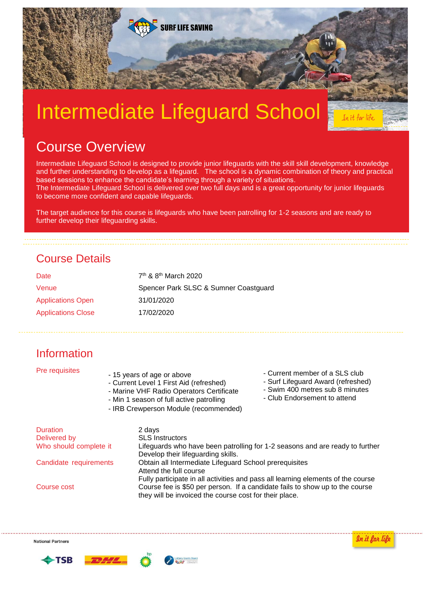

# Intermediate Lifeguard School

## Course Overview

Intermediate Lifeguard School is designed to provide junior lifeguards with the skill skill development, knowledge and further understanding to develop as a lifeguard. The school is a dynamic combination of theory and practical based sessions to enhance the candidate's learning through a variety of situations.

The Intermediate Lifeguard School is delivered over two full days and is a great opportunity for junior lifeguards to become more confident and capable lifeguards.

The target audience for this course is lifeguards who have been patrolling for 1-2 seasons and are ready to further develop their lifeguarding skills.

## Course Details

| Date                      | 7 <sup>th</sup> & 8 <sup>th</sup> March 2020 |  |  |
|---------------------------|----------------------------------------------|--|--|
| Venue                     | Spencer Park SLSC & Sumner Coastguard        |  |  |
| <b>Applications Open</b>  | 31/01/2020                                   |  |  |
| <b>Applications Close</b> | 17/02/2020                                   |  |  |

## Information

| Pre requisites         | - Current member of a SLS club<br>- 15 years of age or above<br>- Surf Lifeguard Award (refreshed)<br>- Current Level 1 First Aid (refreshed)<br>- Swim 400 metres sub 8 minutes<br>- Marine VHF Radio Operators Certificate<br>- Club Endorsement to attend<br>- Min 1 season of full active patrolling<br>- IRB Crewperson Module (recommended) |  |
|------------------------|---------------------------------------------------------------------------------------------------------------------------------------------------------------------------------------------------------------------------------------------------------------------------------------------------------------------------------------------------|--|
| <b>Duration</b>        | 2 days                                                                                                                                                                                                                                                                                                                                            |  |
| Delivered by           | <b>SLS Instructors</b>                                                                                                                                                                                                                                                                                                                            |  |
| Who should complete it | Lifeguards who have been patrolling for 1-2 seasons and are ready to further                                                                                                                                                                                                                                                                      |  |
|                        | Develop their lifeguarding skills.                                                                                                                                                                                                                                                                                                                |  |
| Candidate requirements | Obtain all Intermediate Lifeguard School prerequisites                                                                                                                                                                                                                                                                                            |  |

Attend the full course Fully participate in all activities and pass all learning elements of the course Course cost Course fee is \$50 per person. If a candidate fails to show up to the course they will be invoiced the course cost for their place.

**National Partners** 







In it for life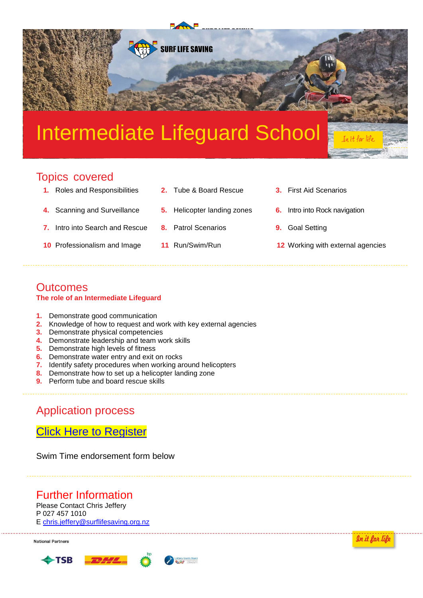## Intermediate Lifeguard School

**SURF LIFE SAVING** 

## Topics covered

- **1.** Roles and Responsibilities **2.** Tube & Board Rescue **3.** First Aid Scenarios
- 
- **7.** Intro into Search and Rescue **8.** Patrol Scenarios **9.** Goal Setting
- 
- 
- **4.** Scanning and Surveillance **5.** Helicopter landing zones **6.** Intro into Rock navigation
	-
- 
- 
- 
- **10** Professionalism and Image **11** Run/Swim/Run **12** Working with external agencies

#### **Outcomes The role of an Intermediate Lifeguard**

- **1.** Demonstrate good communication
- **2.** Knowledge of how to request and work with key external agencies
- **3.** Demonstrate physical competencies
- **4.** Demonstrate leadership and team work skills
- **5.** Demonstrate high levels of fitness
- **6.** Demonstrate water entry and exit on rocks
- **7.** Identify safety procedures when working around helicopters
- **8.** Demonstrate how to set up a helicopter landing zone
- **9.** Perform tube and board rescue skills

### Application process

### [Click Here to Register](https://www.surveymonkey.com/r/NZS2YSR)

Swim Time endorsement form below

## Further Information

Please Contact Chris Jeffery P 027 457 1010 E [chris.jeffery@surflifesaving.org.nz](mailto:chris.jeffery@surflifesaving.org.nz)

**National Partners**